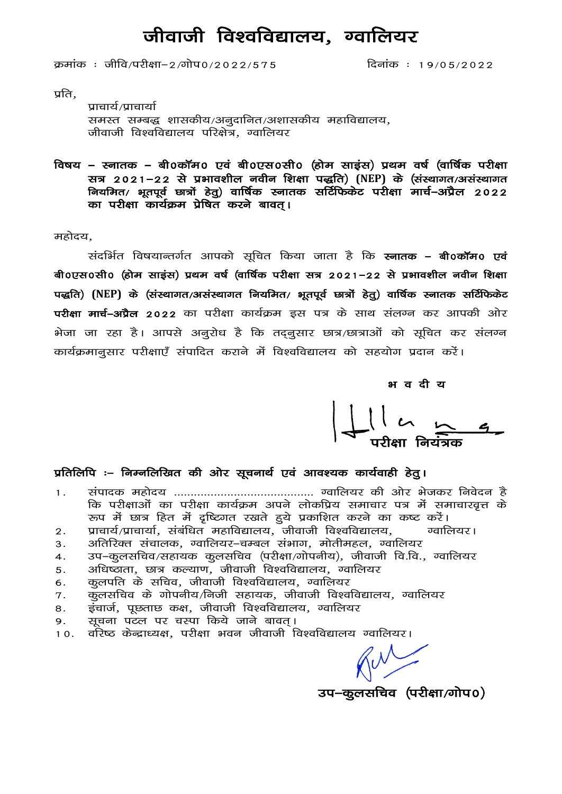### जीवाजी विश्वविद्यालय, ग्वालियर

 $\overline{a}$ कमांक: जीवि/परीक्षा-2/गोप0/2022/575

दिनांक: 19/05/2022

प्रति,

प्राचार्य/प्राचार्या समस्त सम्बद्ध शासकीय/अनुदानित/अशासकीय महाविद्यालय, जीवाजी विश्वविद्यालय परिक्षेत्र, ग्वालियर

विषय – स्नातक – बी0कॉम0 एवं बी0एस0सी0 (होम साइंस) प्रथम वर्ष (वार्षिक परीक्षा सत्र 2021−22 से प्रभावशील नवीन शिक्षा पद्धति) (NEP) के (संस्थागत/असंस्थागत नियमित/ भूतपूर्व छात्रों हेतू) वार्षिक स्नातक सर्टिफिकेट परीक्षा मार्च–अप्रैल 2022 का परीक्षा कार्यक्रम प्रेषित करने बावत।

महोदय,

संदर्भित विषयान्तर्गत आपको सुचित किया जाता है कि **स्नातक – बी0कॉम0 एवं** बी0एस0सी0 (होम साइंस) प्रथम वर्ष (वार्षिक परीक्षा सत्र 2021–22 से प्रभावशील नवीन शिक्षा पद्धति) (NEP) के (संस्थागत/असंस्थागत नियमित/ भूतपूर्व छात्रों हेतू) वार्षिक स्नातक सर्टिफिकेट परीक्षा मार्च-अप्रैल 2022 का परीक्षा कार्यक्रम इस पत्र के साथ संलग्न कर आपकी ओर भेजा जा रहा है। आपसे अनुरोध है कि तद्नुसार छात्र/छात्राओं को सूचित कर संलग्न कार्यक्रमानुसार परीक्षाएँ संपादित कराने में विश्वविद्यालय को सहयोग प्रदान करें।

भवदीय

#### प्रतिलिपि :– निम्नलिखित की ओर सूचनार्थ एवं आवश्यक कार्यवाही हेतु।

- $1.$ कि परीक्षाओं का परीक्षा कार्यक्रम अपने लोकप्रिय समाचार पत्र में समाचारवृत्त के रूप में छात्र हित में दृष्टिगत रखते हुये प्रकाशित करने का कष्ट करें।
- प्राचार्य/प्राचार्या, संबंधित महाविद्यालय, जीवाजी विश्वविद्यालय, ग्वालियर।  $2.$
- अतिरिक्त संचालक, ग्वालियर–चम्बल संभाग, मोतीमहल, ग्वालियर 3.
- उप–कूलसचिव/सहायक कूलसचिव (परीक्षा/गोपनीय), जीवाजी वि.वि., ग्वालियर 4.
- अधिष्ठाता, छात्र कल्याण, जीवाजी विश्वविद्यालय, ग्वालियर 5.
- कूलपति के सचिव, जीवाजी विश्वविद्यालय, ग्वालियर 6.
- कुलसचिव के गोपनीय/निजी सहायक, जीवाजी विश्वविद्यालय, ग्वालियर 7.
- इंचार्ज, पूछताछ कक्ष, जीवाजी विश्वविद्यालय, ग्वालियर 8.
- सूचना पटल पर चस्पा किये जाने बावत। 9.
- वरिष्ठ केन्द्राध्यक्ष, परीक्षा भवन जीवाजी विश्वविद्यालय ग्वालियर।  $10.$

 $W$ 

उप-कुलसचिव (परीक्षा/गोप0)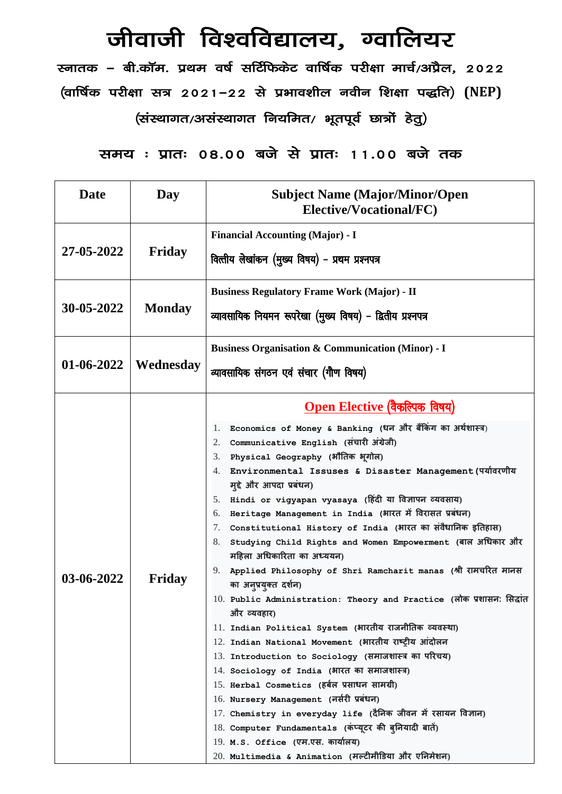## जीवाजी विश्वविद्यालय, ग्वालियर

रनातक – बी.कॉम. प्रथम वर्ष सर्टिफिकेट वार्षिक परीक्षा मार्च/अप्रैल, 2022  $\left($ वार्षिक परीक्षा सत्र 2021−22 से प्रभावशील नवीन शिक्षा पद्धति)  $\left($ NEP $\right)$ 

(संस्थागत/असंस्थागत नियमित/ भूतपूर्व छात्रों हेतु)

le; % izkr% 08-00 cts ls izkr% 11-00 cts rd

| <b>Date</b> | Day           | <b>Subject Name (Major/Minor/Open</b><br>Elective/Vocational/FC)                                                                                                                                                                                                                                                                                                                                                                                                                                                                                                                                                                                                                                                                                                                                                                                                                                                                                                                                                                                                                                                                                                                                                                                                                                                                        |  |
|-------------|---------------|-----------------------------------------------------------------------------------------------------------------------------------------------------------------------------------------------------------------------------------------------------------------------------------------------------------------------------------------------------------------------------------------------------------------------------------------------------------------------------------------------------------------------------------------------------------------------------------------------------------------------------------------------------------------------------------------------------------------------------------------------------------------------------------------------------------------------------------------------------------------------------------------------------------------------------------------------------------------------------------------------------------------------------------------------------------------------------------------------------------------------------------------------------------------------------------------------------------------------------------------------------------------------------------------------------------------------------------------|--|
| 27-05-2022  | Friday        | <b>Financial Accounting (Major) - I</b><br>वित्तीय लेखांकन (मुख्य विषय) - प्रथम प्रश्नपत्र                                                                                                                                                                                                                                                                                                                                                                                                                                                                                                                                                                                                                                                                                                                                                                                                                                                                                                                                                                                                                                                                                                                                                                                                                                              |  |
| 30-05-2022  | <b>Monday</b> | <b>Business Regulatory Frame Work (Major) - II</b><br>व्यावसायिक नियमन रूपरेखा (मुख्य विषय) - द्वितीय प्रश्नपत्र                                                                                                                                                                                                                                                                                                                                                                                                                                                                                                                                                                                                                                                                                                                                                                                                                                                                                                                                                                                                                                                                                                                                                                                                                        |  |
| 01-06-2022  | Wednesday     | <b>Business Organisation &amp; Communication (Minor) - I</b><br>व्यावसायिक संगठन एवं संचार (गौण विषय)                                                                                                                                                                                                                                                                                                                                                                                                                                                                                                                                                                                                                                                                                                                                                                                                                                                                                                                                                                                                                                                                                                                                                                                                                                   |  |
| 03-06-2022  | Friday        | <u>Open Elective (वैकल्पिक विषय)</u><br>Economics of Money & Banking (धन और बैंकिंग का अर्थशास्त्र)<br>1.<br>Communicative English (संचारी अंग्रेजी)<br>2.<br>Physical Geography (भौतिक भूगोल)<br>3.<br>Environmental Issuses & Disaster Management (पर्यावरणीय<br>4.<br>मुद्दे और आपदा प्रबंधन)<br>5. Hindi or vigyapan vyasaya (हिंदी या विज्ञापन व्यवसाय)<br>Heritage Management in India (भारत में विरासत प्रबंधन)<br>6.<br>Constitutional History of India (भारत का संवैधानिक इतिहास)<br>7.<br>Studying Child Rights and Women Empowerment (बाल अधिकार और<br>8.<br>महिला अधिकारिता का अध्ययन)<br>Applied Philosophy of Shri Ramcharit manas (श्री रामचरित मानस<br>9.<br>का अनुप्रयुक्त दर्शन)<br>10. Public Administration: Theory and Practice (लोक प्रशासन: सिद्धांत<br>और व्यवहार)<br>11. Indian Political System (भारतीय राजनीतिक व्यवस्था)<br>12. Indian National Movement (भारतीय राष्ट्रीय आंदोलन<br>13. Introduction to Sociology (समाजशास्त्र का परिचय)<br>14. Sociology of India (भारत का समाजशास्त्र)<br>15. Herbal Cosmetics (हर्बल प्रसाधन सामग्री)<br>16. Nursery Management (नर्सरी प्रबंधन)<br>17. Chemistry in everyday life (दैनिक जीवन में रसायन विज्ञान)<br>18. Computer Fundamentals (कंप्यूटर की बुनियादी बातें)<br>19. M.S. Office (एम.एस. कार्यालय)<br>20. Multimedia & Animation (मल्टीमीडिया और एनिमेशन) |  |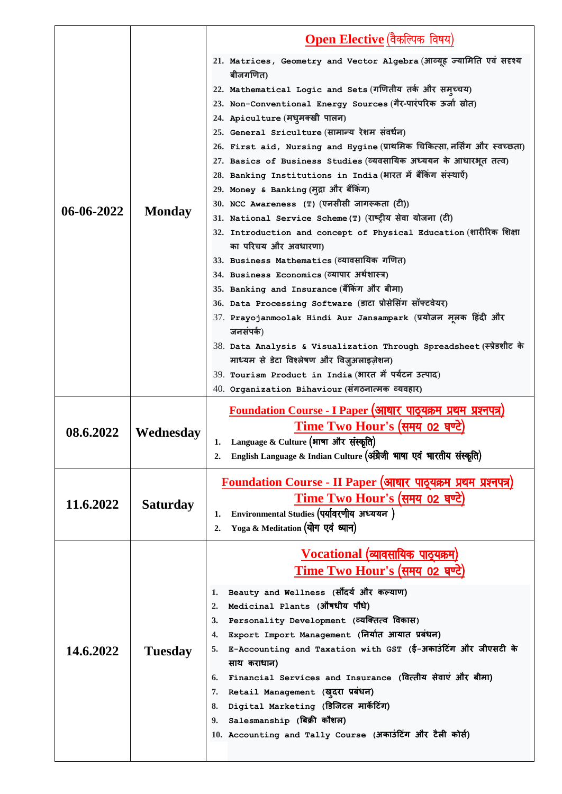|            |                 | Open Elective (वैकल्पिक विषय)                                                                                                                                                                                                                                                                                                                                                                                                                                                                                                                                                                                                                                                                                                                                                                                                                                                                                                                                                                                                                                                                                                                                                                                                                                                                           |
|------------|-----------------|---------------------------------------------------------------------------------------------------------------------------------------------------------------------------------------------------------------------------------------------------------------------------------------------------------------------------------------------------------------------------------------------------------------------------------------------------------------------------------------------------------------------------------------------------------------------------------------------------------------------------------------------------------------------------------------------------------------------------------------------------------------------------------------------------------------------------------------------------------------------------------------------------------------------------------------------------------------------------------------------------------------------------------------------------------------------------------------------------------------------------------------------------------------------------------------------------------------------------------------------------------------------------------------------------------|
| 06-06-2022 | <b>Monday</b>   | 21. Matrices, Geometry and Vector Algebra (आव्यूह ज्यामिति एवं सदृश्य<br>बीजगणित)<br>22. Mathematical Logic and Sets (गणितीय तर्क और समुच्चय)<br>23. Non-Conventional Energy Sources (गैर-पारंपरिक ऊर्जा स्रोत)<br>24. Apiculture (मधुमक्खी पालन)<br>25. General Sriculture (सामान्य रेशम संवर्धन)<br>26. First aid, Nursing and Hygine (प्राथमिक चिकित्सा, नर्सिंग और स्वच्छता)<br>27. Basics of Business Studies (व्यवसायिक अध्ययन के आधारभूत तत्व)<br>28. Banking Institutions in India (भारत में बैंकिंग संस्थाऐं)<br>29. Money & Banking (मुद्रा और बैंकिंग)<br>30. NCC Awareness (T) (एनसीसी जागरूकता (टी))<br>31. National Service Scheme (T) (राष्ट्रीय सेवा योजना (टी)<br>32. Introduction and concept of Physical Education (शारीरिक शिक्षा<br>का परिचय और अवधारणा)<br>33. Business Mathematics (व्यावसायिक गणित)<br>34. Business Economics (व्यापार अर्थशास्त्र)<br>35. Banking and Insurance (बैंकिंग और बीमा)<br>36. Data Processing Software (डाटा प्रोसेसिंग सॉफ्टवेयर)<br>37. Prayojanmoolak Hindi Aur Jansampark (प्रयोजन मूलक हिंदी और<br>जनसंपर्क)<br>38. Data Analysis & Visualization Through Spreadsheet (स्प्रेडशीट के<br>माध्यम से डेटा विश्लेषण और विज़ुअलाइज़ेशन)<br>39. Tourism Product in India (भारत में पर्यटन उत्पाद)<br>40. Organization Bihaviour (संगठनात्मक व्यवहार) |
| 08.6.2022  | Wednesday       | <u> Foundation Course - I Paper (आधार पाठ्यक्रम प्रथम प्रश्नपत्र)</u><br><u>Time Two Hour's (समय 02 घण्टे)</u><br>Language & Culture (भाषा और संस्कृति)<br>1.<br>English Language & Indian Culture (अंग्रेजी भाषा एवं भारतीय संस्कृति)<br>2.                                                                                                                                                                                                                                                                                                                                                                                                                                                                                                                                                                                                                                                                                                                                                                                                                                                                                                                                                                                                                                                            |
| 11.6.2022  | <b>Saturday</b> | <u> Foundation Course - II Paper (आधार पाठ्यक्रम प्रथम प्रश्नपत्र)</u><br><u>Time Two Hour's (समय 02 घण्टे)</u><br>Environmental Studies (पर्यावरणीय अध्ययन)<br>1.<br>Yoga & Meditation (योग एवं ध्यान)<br>2.                                                                                                                                                                                                                                                                                                                                                                                                                                                                                                                                                                                                                                                                                                                                                                                                                                                                                                                                                                                                                                                                                           |
| 14.6.2022  | <b>Tuesday</b>  | <u>Vocational (व्यावसायिक पाठूयक्रम)</u><br><u>Time Two Hour's (समय 02 घण्टे)</u><br>Beauty and Wellness (सौंदर्य और कल्याण)<br>1.<br>Medicinal Plants (औषधीय पौधे)<br>2.<br>Personality Development (व्यक्तित्व विकास)<br>3.<br>Export Import Management (निर्यात आयात प्रबंधन)<br>4.<br>E-Accounting and Taxation with GST (ई-अकाउंटिंग और जीएसटी के<br>5.<br>साथ कराधान)<br>Financial Services and Insurance (वित्तीय सेवाएं और बीमा)<br>6.<br>7. Retail Management (खुदरा प्रबंधन)<br>Digital Marketing (डिजिटल मार्केटिंग)<br>8.<br>Salesmanship (बिक्री कौशल)<br>9.<br>10. Accounting and Tally Course (अकाउंटिंग और टैली कोर्स)                                                                                                                                                                                                                                                                                                                                                                                                                                                                                                                                                                                                                                                                  |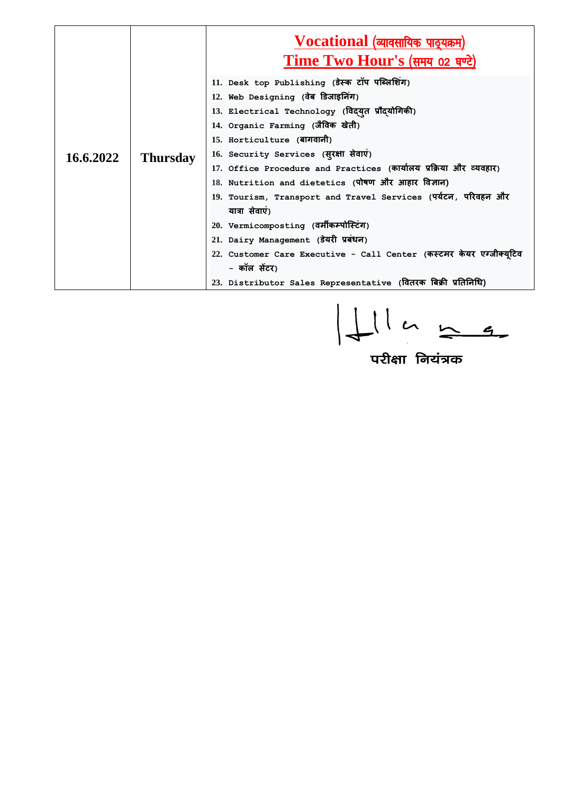| 16.6.2022 | <b>Thursday</b> | $\bf Vocational$ (व्यावसायिक पाठूयक्रम)<br><u>Time Two Hour's (समय 02 घण्टे)</u> |
|-----------|-----------------|----------------------------------------------------------------------------------|
|           |                 | 11. Desk top Publishing (डेस्क टॉप पब्लिशिंग)                                    |
|           |                 | 12. Web Designing (वेब डिजाइनिंग)                                                |
|           |                 | 13. Electrical Technology (विद्युत प्रौद्योगिकी)                                 |
|           |                 | 14. Organic Farming (जैविक खेती)                                                 |
|           |                 | 15. Horticulture (बागवानी)                                                       |
|           |                 | 16. Security Services (सूरक्षा सेवाएं)                                           |
|           |                 | 17. Office Procedure and Practices (कार्यालय प्रक्रिया और व्यवहार)               |
|           |                 | 18. Nutrition and dietetics (पोषण और आहार विज्ञान)                               |
|           |                 | 19. Tourism, Transport and Travel Services (पर्यटन, परिवहन और                    |
|           |                 | यात्रा सेवाएं)                                                                   |
|           |                 | 20. Vermicomposting (वर्मीकम्पोस्टिंग)                                           |
|           |                 | 21. Dairy Management (डेयरी प्रबंधन)                                             |
|           |                 | 22. Customer Care Executive - Call Center (कस्टमर केयर एग्जीक्यूटिव              |
|           |                 | - कॉल सेंटर)                                                                     |
|           |                 | 23. Distributor Sales Representative (वितरक बिक्री प्रतिनिधि)                    |

 $\begin{array}{|l|} \hline \text{Lll} & \text{L2} \ \hline \text{L3} & \text{L4} \ \hline \text{L4} & \text{L4} \ \hline \text{L5} & \text{L4} \ \hline \text{L7} & \text{L8} \ \hline \text{L8} & \text{L8} \ \hline \text{L9} & \text{L1} \ \hline \text{L1} & \text{L2} \ \hline \text{L1} & \text{L2} \ \hline \text{L2} & \text{L3} \ \hline \text{L4} & \text{L4} \ \hline \text{L5} & \text{L4} \ \hline \text{L$